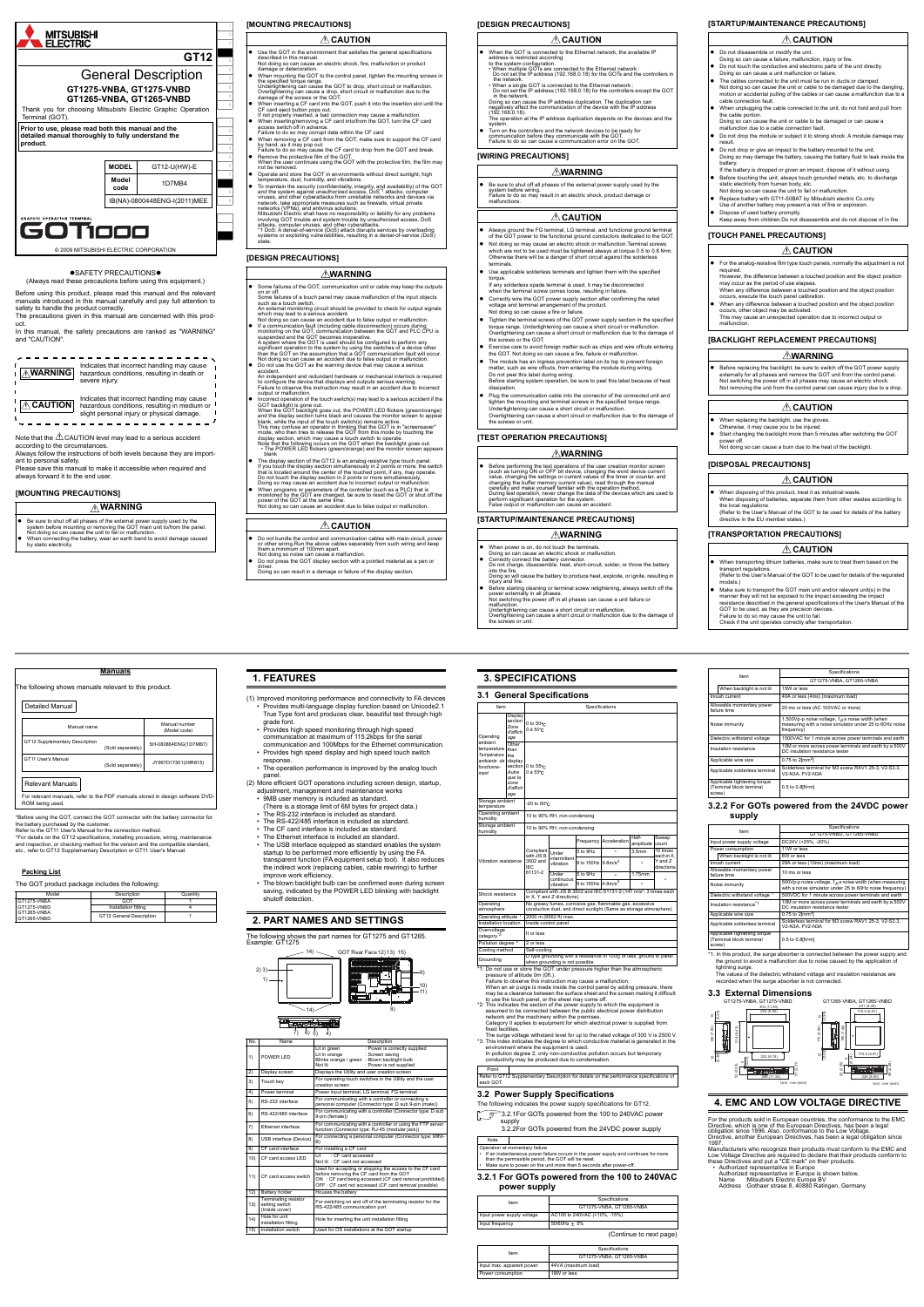

### **OSAFETY PRECAUTIONS**

Note that the  $\triangle$  CAUTION level may lead to a serious accident according to the circumstances.

(Always read these precautions before using this equipment.) Before using this product, please read this manual and the relevant manuals introduced in this manual carefully and pay full attention to safety to handle the product correctly. The precautions given in this manual are concerned with this prod-

Indicates that incorrect handling may cause WARNING hazardous conditions, resulting in death or severe injury.

Indicates that incorrect handling may cause  $\triangle$  **CAUTION** hazardous conditions, resulting in medium or slight personal injury or physical damage.<br>  $- - - - - - - - - - - - - - - - - - - - - - - - - - - - - - - -$ 

uct.

In this manual, the safety precautions are ranked as "WARNING" and "CAUTION".

- **WARNING**
- Be sure to shut off all phases of the external power supply used by the system before mounting or removing the GOT main unit fo/from the panel.<br>Not doing so can cause the unit to fail or malfunction.<br>● When connecting t
- 

Always follow the instructions of both levels because they are important to personal safety. Please save this manual to make it accessible when required and

always forward it to the end user. **[MOUNTING PRECAUTIONS]**

### **[MOUNTING PRECAUTIONS]**

# **[DESIGN PRECAUTIONS]**

- access switch off in advance.<br>Failure to do so may corrupt data within the CF card<br>When removing a CF card from the GOT, make sure to support the CF card<br>Pailure to do so may cause the CF card to drop from the GOT and brea
- 
- 
- Operate and store the GOT in environments without direct sunlight, high<br>temperature, dust, humidity, and vibrations.<br>To maintain the security (confidentiality, integrity, and availability) of the GOT<br>and the system aga
- networks (VPNs), and antivirus solutions. Mitsubishi Electric shall have no responsibility or liability for any problems involving GOT trouble and system trouble by unauthorized access, DoS
- attacks, computer viruses, and other cyberattacks. \*1 DoS: A denial-of-service (DoS) attack disrupts services by overloading systems or exploiting vulnerabilities, resulting in a denial-of-service (DoS) state.

Be sure to shut off all phases of the external power supply used by the system before wiring. Failure to do so may result in an electric shock, product damage or malfunctions.

- Always ground the FG terminal, LG terminal, and functional ground terminal of the GOT power to the functional ground conductors dedicated to the GOT.
- Not doing so may cause an electric shock or malfunction.Terminal screws<br>which are not to be used must be tightened always at torque 0.5 to 0.8 N•m.<br>Othewise there will be a danger of short circuit against the solderless
- Use applicable solderless terminals and tighten them with the specified torque.
- torque.<br>If any solderless spade terminal is used, it may be disconnected<br>when the terminal screw comes loose, resulting in failure.
- when the terminal screw comes loose, resulting in failure.<br>Correctly wire the GOT power supply section after confirming the rated<br>voltage and terminal arrangement of the product.<br>Not doing so can cause a fre or failure.<br>Ti
- 
- 
- Exercise care to avoid foreign matter such as chips and wire offcuts entering the GOT. Not doing so can cause a fire, failure or malfunction.
- The module has an ingress prevention label on its top to prevent foreign<br>matter, such as wire offcuts, from entering the module during wiring.<br>Do not peel this label during wiring.<br>Before starting system operation, be sure
- dissipation.<br>
 Blug the communication cable into the connector of the connected unit and<br>
tighten the mounting and terminal screws in the specified torque range.<br>
Undertightening can cause a short circuit or malfunction.<br>

|           | $\triangle$ CAUTION                                                                                                                                                                                                                                                                                     |
|-----------|---------------------------------------------------------------------------------------------------------------------------------------------------------------------------------------------------------------------------------------------------------------------------------------------------------|
|           | Use the GOT in the environment that satisfies the general specifications<br>described in this manual.<br>Not doing so can cause an electric shock, fire, malfunction or product<br>damage or deterioration.                                                                                             |
|           | • When mounting the GOT to the control panel, tighten the mounting screws in<br>the specified torque range.<br>Undertightening can cause the GOT to drop, short circuit or malfunction.<br>Overtightening can cause a drop, short circuit or malfunction due to the<br>damage of the screws or the GOT. |
| $\bullet$ | When inserting a CF card into the GOT, push it into the insertion slot until the<br>CF card eject button pops out.<br>If not properly inserted, a bad connection may cause a malfunction.                                                                                                               |
|           | When inserting/removing a CF card into/from the GOT, turn the CF card<br>access switch off in advance                                                                                                                                                                                                   |

- For the analog-resistive film type touch panels, normally the adjustment is not required.
- However, the difference between a touched position and the object position<br>may occur as the period of use elapses.<br>When any difference between a touched position and the object position<br>occurs, execute the touch panel cali
- When any difference between a touched position and the object position occurs, other object may be activated. This may cause an unexpected operation due to incorrect output or malfunction.

- Do not press the GOT display section with a pointed material as a pen or
- 

driver. Doing so can result in a damage or failure of the display section.

# **WARNING**

- Some failures of the GOT, communication unit or cable may keep the output<br>on or off on or off. Some failures of a touch panel may cause malfunction of the input objects
- such as a touch switch.<br>An external monitoring circuit should be provided to check for output signals<br>which may lead to a serious accident.<br>Not doing so can cause an accident due to false output or malfunction.<br>● If a comm
	-
- suspended and the GOT becomes inoperative.<br>A system where the GOT is used should be configured to perform any<br>significant operation to the system by using the switches of a device other<br>than the GOT on the assumption that
- accident.<br>An independent and redundant hardware or mechanical interlock is required to configure the device that displays and outputs serious warning. Failure to observe this instruction may result in an accident due to incorrect output or malfunction.
- Incorrect operation of the touch switch(s) may lead to a serious accident if the
- GOT backlight is gone out.<br>When the GOT backlight goes out, the POWER LED flickers (green/orange)<br>and the display section turns black and causes the monitor screen to appear<br>blank, while the juput of the touch switch(s) re
- ore mat the following occurs on the GOT when the backlight goes out.<br>The POWER LED flickers (green/orange) and the monitor screen appear blank The display section of the GT12 is an analog-resistive type touch panel.
- If you touch the display section simultaneously in 2 points or more, the switch<br>that is located around the center of the touched point, if any, may operate.<br>Do not touch the display section in 2 points or more simultaneous
- When programs or parameters of the controller (such as a PLC) that is<br>monitored by the GOT are changed, be sure to reset the GOT or shut off the<br>power of the GOT at the same time.<br>Not doing so can cause an accident due

# $\triangle$  C<u>aution</u>

 $\bullet$  Do not bundle the control and communication cables with main-circuit, power or other winng.Run the above cables separately from such wiring and keep<br>them a minimum of 100mm apart.<br>Not doing so noise can cause a malfu

### **[DESIGN PRECAUTIONS]**

# **[WIRING PRECAUTIONS]**

### **[TEST OPERATION PRECAUTIONS]**

### **[STARTUP/MAINTENANCE PRECAUTIONS]**

- When the GOT is connected to the Ethernet network, the available IP
- address is restricted according<br>to the system configuration.<br>• When multiple GOTs are connected to the Ethernet network :<br>• Do not set the IP address (192.168.0.18) for the GOTs and the controllers in the network. • When a single GOT is connected to the Ethernet network : Do not set the IP address (192.168.0.18) for the controllers except the GOT in the network. Doing so can cause the IP address duplication. The duplication can negatively affect the communication of the device with the IP address
- (192.168.0.18). The operation at the IP address duplication depends on the devices and the system. Turn on the controllers and the network devices to be ready for
- communication before they communicate with the GOT. Failure to do so can cause a communication error on the GOT.

• Provides high speed monitoring through high speed communication at maximum of 115.2kbps for the serial communication and 100Mbps for the Ethernet communication. Provides high speed display and high speed touch switch

(2) More efficient GOT operations including screen design, startup, adjustment, management and maintenance works 9MB user memory is included as standard. (There is a storage limit of 6M bytes for project data.) The RS-232 interface is included as standard. • The RS-422/485 interface is included as standard. The CF card interface is included as standard. The Ethernet interface is included as standard

The blown backlight bulb can be confirmed even during screen saving, indicated by the POWER LED blinking with backlight

14) GOT Rear Face 12 (13) 15)

perating altitude<sup>\*1</sup> 2000 m (6562 ft) max Installation location Inside control panel

ll or less

10 to 90% RH, non-condensing

10 to 90% RH, non-condensing

- Doing so can cause an electric shock or malfunction. Correctly connect the battery connector. Do not charge, disassemble, heat, short-circuit, solder, or throw the battery
- 
- into the fire.<br>This theorem solution of produce heat, explode, or ignite, resulting in<br>injury and fire.<br>  $\bullet$  Before starting cleaning or terminal screw retightening, always switch off the<br>  $\bullet$  Before startingly in all ph
- Undertightening can cause a short circuit or malfunction. Overtightening can cause a short circuit or malfunction due to the damage of the screws or unit.
- **WARNING**
- When power is on, do not touch the terminals.

 $\frac{6}{100}$  D type grounding with a resistance of 100 $\Omega$  or less, ground to panel<br>when grounding is not possible when grounding is not possible

"2: This indicates the section of the power supply to which the equipment is<br>assumed to be connected between the public electrical power distribution<br>network and the machinery within the premises.<br>Category II applies to eq

### **CAUTION**

### **WARNING**

# **CAUTION**

### **WARNING**

● Before performing the test operations of the user creation monitor screen<br>the such as turning ON or OFF bit device, changing the word device current<br>value, changing the settings or current values of the timer or counter

## **[STARTUP/MAINTENANCE PRECAUTIONS]**

# **ACAUTION**

# **[TOUCH PANEL PRECAUTIONS]**

## **ACAUTION**

### **[BACKLIGHT REPLACEMENT PRECAUTIONS]**

### **[DISPOSAL PRECAUTIONS]**

# **CAUTION**

# **[TRANSPORTATION PRECAUTIONS]**

acturers who recognize their products must conform to the EMC and Low Voltage Directive are required to declare that their products conform to these Directives and put a "CE mark" on their products. • Authorized representative in Europe

Authorized representative in Europe is shown below.<br>Name :Mitsubishi Electric Europe BV<br>Address :Gothaer strase 8, 40880 Ratingen, Germany

frequency) Dielectric withstand voltage 1500VAC for 1 minute across power terminals and earth Insulation resistance 10M or more across power terminals and earth by a 500V<br>DC insulation resistance tester

20 ms or less (AC 100VAC or more)

1,500Vp-p noise voltage, 1 $\mu$ s noise width (when measuring with a noise simulator under 25 to 60Hz noise

- 
- Do not disassemble or modify the unit. Doing so can cause a failure, malfunction, injury or fire. Do not touch the conductive and electronic parts of the unit directly.
- Doing so can cause a unit malfunction or failure. The cables connected to the unit must be run in ducts or clamped.
- Not doing so can cause the unit or cable to be damaged due to the dangling, motion or accidental pulling of the cables or can cause a malfunction due to a cable connection fault.
- When unplugging the cable connected to the unit, do not hold and pull from the cable portion. Doing so can cause the unit or cable to be damaged or can cause a malfunction due to a cable connection fault.
- Do not drop the module or subject it to strong shock. A module damage may
- result. Do not drop or give an impact to the battery mounted to the unit.<br>Doing so may damage the battery, causing the battery fluid to le
- $n$ age the battery, causing the battery fluid to leak inside the If the battery is dropped or given an impact, dispose of it without using
- If the battery is dropped or given an impact, dispose of it without using.<br>• Before touching the unit, always touch grounded metals, etc. to discharge<br>• static electricity from human body, etc.<br>Not doing so can cause the
- Replace battery with GT11-50BAT by Mitsubishi electric Co.only.
- Use of another battery may present a risk of fire or explosion Dispose of used battery promptly. Keep away from children.Do not disassemble and do not dispose of in fire.

- When replacing the backlight, use the gloves. Otherwise, it may cause you to be injured.
- Start changing the backlight more than 5 minutes after switching the GOT
- power off. Not doing so can cause a burn due to the heat of the backlight.

 When disposing of this product, treat it as industrial waste. When disposing of batteries, separate them from other wastes according to the local regulation (Refer to the User's Manual of the GOT to be used for details of the battery

directive in the EU member states.)

When backlight is not lit 15W or less

htary po

Applicable wire size 0.75 to 2[mm2]

Power consumption 11W or less When backlight is not lit 6W or less

pplicable wire size 0.75 to 2[mm2] Applicable solderless terminal

oise immunity

When transporting lithium batteries, make sure to treat them based on the transport regulations. (Refer to the User's Manual of the GOT to be used for details of the regurated

models.)<br>
In ondesting and the GOT main unit and/or relevant unit(s) in the<br>
Make sure to transport the GOT main unit and/or relevant unit(s) in the<br>
resistance described in the general specifications of the User's Manual

IOA or less (4ms) (m

Item Specifications<br>
GT1275-VNBA, GT1265-VNBA

## **WARNING**

● Before replacing the backlight, be sure to switch off the GOT power supply<br>externally for all phases and remove the GOT unit from the control panel.<br>Not switching the power off in all phases may cause an electric shock.

### **LAUTION**

## **CAUTION**

**Manuals**

The following shows manuals relevant to this product.

For relevant manuals, refer to the PDF manuals stored in design software DVD-

ROM being used.

\*Before using the GOT, connect the GOT connector with the battery connector for the battery purchased by the customer.<br>Refer to the GT11 User's Manual for the connection method.<br>\*For details on the GT12 specifications, installing procedure, wiring, maintenance and inspection, or checking method for the version and the compatible standard, etc., refer to GT12 Supplementary Description or GT11 User's Manual.

Model **Description** Quantity

GT12 General Description

**Packing List**

 $ST1275$ -VNB .<br>GT1275-VNBD GT1265-VNBA **GT1265-VNBD** 

The GOT product package includes the following:

Detailed Manual

Manual name Manual number (Model code)

SH-080864ENG(1D7MB7)

GT12 Supplementary Description

GT11 User's Manual

(Sold separately) JY997D17501(09R815)

GOT 1 Installation fitting  $\vert$  4

Relevant Manuals

**1. FEATURES**

(1) Improved monitoring performance and connectivity to FA devices • Provides multi-language display function based on Unicode2.1 True Type font and produces clear, beautiful text through high

grade font.

response.

• The operation performance is improved by the analog touch

panel.

• The USB interface equipped as standard enables the system startup to be performed more efficiently by using the FA transparent function (FA equipment setup tool). It also reduces the indirect work (replacing cables, cable rewiring) to further

improve work efficiency.

shutoff detection

 $2)$  3)  $1)$  –

**2. PART NAMES AND SETTINGS**

The following shows the part names for GT1275 and GT1265. Example: GT1275

|                | $-14)$                                                          | lter<br>.10)<br>m<br>mil.<br>11)<br>8)                                                                                                                                                                                   |  |  |
|----------------|-----------------------------------------------------------------|--------------------------------------------------------------------------------------------------------------------------------------------------------------------------------------------------------------------------|--|--|
|                | 6) 5)<br>7)                                                     | <u>ageje asi</u> k<br>4)                                                                                                                                                                                                 |  |  |
| No.            | Name                                                            | Description                                                                                                                                                                                                              |  |  |
| 1)             | POWER LED                                                       | : Power is correctly supplied<br>Lit in green<br>: Screen saving<br>Lit in orange<br>Blinks orange / green: Blown backlight bulb<br>Not lit<br>: Power is not supplied                                                   |  |  |
| $\overline{2}$ | Display screen                                                  | Displays the Utility and user creation screen                                                                                                                                                                            |  |  |
| 3)             | Touch key                                                       | For operating touch switches in the Utility and the user<br>creation screen                                                                                                                                              |  |  |
| 4)             | Power terminal                                                  | Power input terminal, LG terminal, FG terminal                                                                                                                                                                           |  |  |
| 5)             | RS-232 interface                                                | For communicating with a controller or connecting a<br>personal computer (Connector type: D sub 9-pin (male))                                                                                                            |  |  |
| 6)             | RS-422/485 interface                                            | For communicating with a controller (Connector type: D sub<br>9-pin (female))                                                                                                                                            |  |  |
| 7)             | <b>Ethernet interface</b>                                       | For communicating with a controller or using the FTP server<br>function (Connector type: RJ-45 (modular jack))                                                                                                           |  |  |
| 8)             | USB interface (Device)                                          | For connecting a personal computer (Connector type: MINI-<br>B)                                                                                                                                                          |  |  |
| 9)             | CF card interface                                               | For installing a CF card                                                                                                                                                                                                 |  |  |
| 10)            | CF card access LED                                              | : CF card accessed<br>l it<br>Not lit: CF card not accessed                                                                                                                                                              |  |  |
| 11)            | CF card access switch                                           | Used for accepting or stopping the access to the CF card<br>before removing the CF card from the GOT<br>ON : CF card being accessed (CF card removal prohibited)<br>OFF: CF card not accessed (CF card removal possible) |  |  |
| 12)            | Battery holder                                                  | Houses the battery                                                                                                                                                                                                       |  |  |
| 13)            | <b>Terminating resistor</b><br>setting switch<br>(Inside cover) | For switching on and off of the terminating resistor for the<br>RS-422/485 communication port                                                                                                                            |  |  |
| (14)           | Hole for unit<br>installation fitting                           | Hole for inserting the unit installation fitting                                                                                                                                                                         |  |  |
| 15)            | Installation switch                                             | Used for OS installations at the GOT startup                                                                                                                                                                             |  |  |

9)

**3. SPECIFICATIONS 3.1 General Specifications** 

\*1: Do not use or store the GOT under pressure higher than the atmospheric pressure of altitude 0m (0ft.). Failure to observe this instruction may cause a malfunction.

When an air purge is made inside the control panel by adding pressure, there may be a clearance between the surface sheet and the screen making it difficult to use the touch panel, or the sheet may come off.

The surge voltage withstand level for up to the rated voltage of 300 V is 2500 V.

"3: This index indicates the degree to which conductive material is generated in the<br>environment where the equipment is used.<br>In pollution degree 2, only non-conductive pollution occurs but temporary<br>conductivity may be pr

### **3.2 Power Supply Specifications**

The following indicates the power supply specifications for GT12.

3.2.1For GOTs powered from the 100 to 240VAC power [supply](#page-0-0)

[3.2.2For GOTs powered from the 24VDC power supply](#page-0-1)

### <span id="page-0-0"></span>**3.2.1 For GOTs powered from the 100 to 240VAC power supply**

(Continue to next page)

Operating ambient temperature *Température ambiante de fonctionnement*

rage a

Display section *Zone d'affich age*

0 to 50 *0 à 50*

Other than the display section *Autre que la zone d'affich age*

0 to 55 *0 à 55*

 $20$  to  $60^{\circ}$ C

Operating ambient

Storage ambient

Vibration resistance

Shock resistance

Compliant with JIS B 3502 and IEC 61131-2

amplitude

requency Acceleration<br>
5 to 9Hz - 3.5mm 10 times<br>
9 to 150Hz 9 8m/s<sup>2</sup> - each in X,<br>
Y and Z

Sweep

Under intermittent vibration

Under continuous vibration

in X, Y and Z directions)

requency Acceleration

Operating atmosphere

ervoltage

'ollution degree<sup>\*</sup> Cooling method Self-cooling

Item **International Contract Specifications** 

No greasy fumes, corrosive gas, flammable gas, excessive conductive dust, and direct sunlight (Same as storage atmosphere)

to 9Hz

to 150Hz  $9.8$ m/s<sup>2</sup> -

9 to 150Hz  $4.9 \text{m/s}^2$  -

Point Refer to GT12 Supplementary Description for details on the performance specifications of each GOT.

### Note

Operation at momentary failure<br>• If an instantaneous power failure occurs in the power supply and continues for more<br>• than the permissible period, the GOT will be reset.<br>• Make sure to power on the unit more than 5 second

| Item                       | Specifications               |
|----------------------------|------------------------------|
|                            | GT1275-VNBA, GT1265-VNBA     |
| Input power supply voltage | AC100 to 240VAC (+10%, -15%) |
| Input frequency            | $50/60$ Hz $\pm 5%$          |

| Item                      | Specifications           |  |
|---------------------------|--------------------------|--|
|                           | GT1275-VNBA, GT1265-VNBA |  |
| Input max. apparent power | 44VA (maximum load)      |  |
| Power consumption         | 18W or less              |  |

<span id="page-0-1"></span>**3.2.2 For GOTs powered from the 24VDC power**

Item Specifications<br>
GT1275-VNBD, GT1265-VNBD .<br>Power supply and the DC45 (+25%)

A or less (10

failure time 10 ms or less

Dielectric withstand voltage<sup>\*1</sup> 500VDC for 1 minute across

Applicable solderless terminal Solderless terminal for M3 screw RAV1.25-3, V2-S3.3, V3-S3.3,

**supply**

\*1: In this product, the surge absorber is connected between the power supply and the ground to avoid a malfunction due to noise caused by the application of lightning surge. The values of the dielectric withstand voltage and insulation resistance are recorded when the surge absorber is not connected.

olderless termina<br>2-N3A, FV2-N3A

### **3.3 External Dimensions**

# **4. EMC AND LOW VOLTAGE DIRECTIVE**

For the products sold in European countries, the conformance to the EMC Directive, which is one of the European Directives, has been a legal obligation since 1996. Also, conformance to the Low Voltage. Directive, another European Directives, has been a legal obligation since 1997.

Applicable tightening torque (Terminal block terminal screw)

0.5 to 0.8[N•m]

Allowable momentary power

nsulation resistance<sup>\*1</sup>

with a noise simulator under 25 to 60Hz noise frequency)

DC insulation resistance tester

Applicable tightening torque (Terminal block terminal

**Noise immunity** 

screw)

0.5 to 0.8[N•m]



Unit : mm (inch)